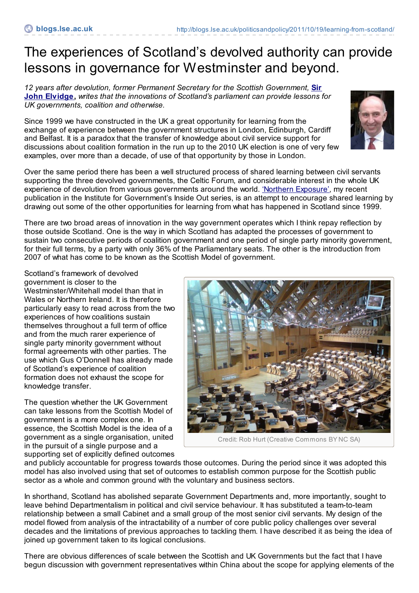## The experiences of Scotland's devolved authority can provide lessons in governance for Westminster and beyond.

*12 years after devolution, former Permanent Secretary for the Scottish [Government,](http://blogs.lse.ac.uk/politicsandpolicy/contributors/#John_Elvidge)* **Sir John Elvidge,** *writes that the innovations of Scotland's parliament can provide lessons for UK governments, coalition and otherwise.*

Since 1999 we have constructed in the UK a great opportunity for learning from the exchange of experience between the government structures in London, Edinburgh, Cardiff and Belfast. It is a paradox that the transfer of knowledge about civil service support for discussions about coalition formation in the run up to the 2010 UK election is one of very few examples, over more than a decade, of use of that opportunity by those in London.



Over the same period there has been a well structured process of shared learning between civil servants supporting the three devolved governments, the Celtic Forum, and considerable interest in the whole UK experience of devolution from various governments around the world. 'Northern [Exposure'](http://www.instituteforgovernment.org.uk/publications/44/), my recent publication in the Institute for Government's Inside Out series, is an attempt to encourage shared learning by drawing out some of the other opportunities for learning from what has happened in Scotland since 1999.

There are two broad areas of innovation in the way government operates which I think repay reflection by those outside Scotland. One is the way in which Scotland has adapted the processes of government to sustain two consecutive periods of coalition government and one period of single party minority government, for their full terms, by a party with only 36% of the Parliamentary seats. The other is the introduction from 2007 of what has come to be known as the Scottish Model of government.

Scotland's framework of devolved government is closer to the Westminster/Whitehall model than that in Wales or Northern Ireland. It is therefore particularly easy to read across from the two experiences of how coalitions sustain themselves throughout a full term of office and from the much rarer experience of single party minority government without formal agreements with other parties. The use which Gus O'Donnell has already made of Scotland's experience of coalition formation does not exhaust the scope for knowledge transfer.

The question whether the UK Government can take lessons from the Scottish Model of government is a more complex one. In essence, the Scottish Model is the idea of a government as a single organisation, united in the pursuit of a single purpose and a supporting set of explicitly defined outcomes



Credit: Rob Hurt (Creative Commons BY NC SA)

and publicly accountable for progress towards those outcomes. During the period since it was adopted this model has also involved using that set of outcomes to establish common purpose for the Scottish public sector as a whole and common ground with the voluntary and business sectors.

In shorthand, Scotland has abolished separate Government Departments and, more importantly, sought to leave behind Departmentalism in political and civil service behaviour. It has substituted a team-to-team relationship between a small Cabinet and a small group of the most senior civil servants. My design of the model flowed from analysis of the intractability of a number of core public policy challenges over several decades and the limitations of previous approaches to tackling them. I have described it as being the idea of joined up government taken to its logical conclusions.

There are obvious differences of scale between the Scottish and UK Governments but the fact that I have begun discussion with government representatives within China about the scope for applying elements of the